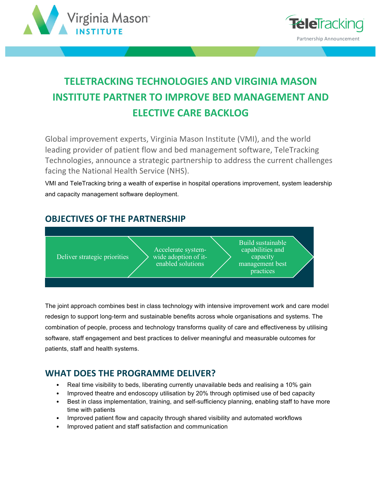



# **TELETRACKING TECHNOLOGIES AND VIRGINIA MASON INSTITUTE PARTNER TO IMPROVE BED MANAGEMENT AND ELECTIVE CARE BACKLOG**

Global improvement experts, Virginia Mason Institute (VMI), and the world leading provider of patient flow and bed management software, TeleTracking Technologies, announce a strategic partnership to address the current challenges facing the National Health Service (NHS).

VMI and TeleTracking bring a wealth of expertise in hospital operations improvement, system leadership and capacity management software deployment.

## **OBJECTIVES OF THE PARTNERSHIP**



The joint approach combines best in class technology with intensive improvement work and care model redesign to support long-term and sustainable benefits across whole organisations and systems. The combination of people, process and technology transforms quality of care and effectiveness by utilising software, staff engagement and best practices to deliver meaningful and measurable outcomes for patients, staff and health systems.

## **WHAT DOES THE PROGRAMME DELIVER?**

- Real time visibility to beds, liberating currently unavailable beds and realising a 10% gain
- Improved theatre and endoscopy utilisation by 20% through optimised use of bed capacity
- Best in class implementation, training, and self-sufficiency planning, enabling staff to have more time with patients
- Improved patient flow and capacity through shared visibility and automated workflows
- Improved patient and staff satisfaction and communication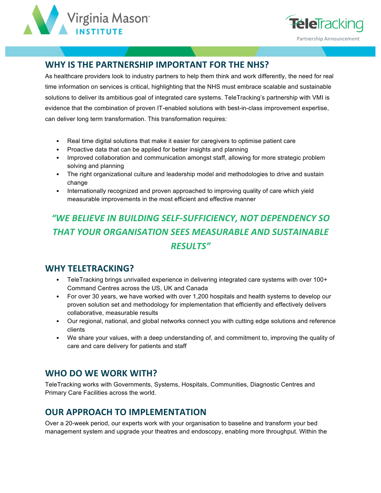



## **WHY IS THE PARTNERSHIP IMPORTANT FOR THE NHS?**

As healthcare providers look to industry partners to help them think and work differently, the need for real time information on services is critical, highlighting that the NHS must embrace scalable and sustainable solutions to deliver its ambitious goal of integrated care systems. TeleTracking's partnership with VMI is evidence that the combination of proven IT-enabled solutions with best-in-class improvement expertise, can deliver long term transformation. This transformation requires:

- Real time digital solutions that make it easier for caregivers to optimise patient care
- Proactive data that can be applied for better insights and planning
- Improved collaboration and communication amongst staff, allowing for more strategic problem solving and planning
- The right organizational culture and leadership model and methodologies to drive and sustain change
- Internationally recognized and proven approached to improving quality of care which yield measurable improvements in the most efficient and effective manner

## "WE BELIEVE IN BUILDING SELF-SUFFICIENCY, NOT DEPENDENCY SO **THAT YOUR ORGANISATION SEES MEASURABLE AND SUSTAINABLE** *RESULTS"*

#### **WHY TELETRACKING?**

- TeleTracking brings unrivalled experience in delivering integrated care systems with over 100+ Command Centres across the US, UK and Canada
- For over 30 years, we have worked with over 1,200 hospitals and health systems to develop our proven solution set and methodology for implementation that efficiently and effectively delivers collaborative, measurable results
- Our regional, national, and global networks connect you with cutting edge solutions and reference clients
- We share your values, with a deep understanding of, and commitment to, improving the quality of care and care delivery for patients and staff

## WHO DO WE WORK WITH?

TeleTracking works with Governments, Systems, Hospitals, Communities, Diagnostic Centres and Primary Care Facilities across the world.

## **OUR APPROACH TO IMPLEMENTATION**

Over a 20-week period, our experts work with your organisation to baseline and transform your bed management system and upgrade your theatres and endoscopy, enabling more throughput. Within the